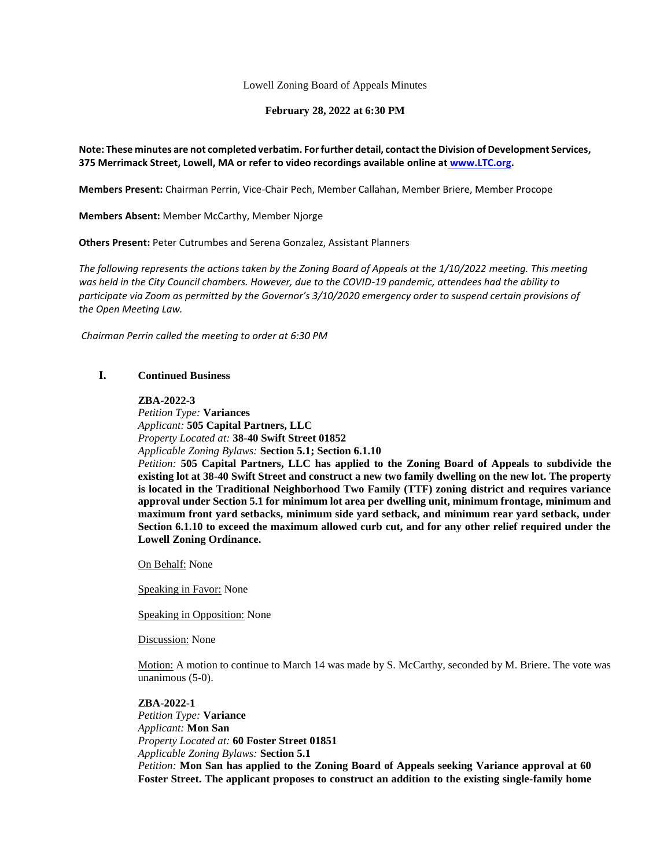Lowell Zoning Board of Appeals Minutes

**February 28, 2022 at 6:30 PM**

# **Note: These minutes are not completed verbatim. For further detail, contact the Division of Development Services, 375 Merrimack Street, Lowell, MA or refer to video recordings available online a[t](http://www.ltc.org/) [www.LTC.org.](http://www.ltc.org/)**

**Members Present:** Chairman Perrin, Vice-Chair Pech, Member Callahan, Member Briere, Member Procope

**Members Absent:** Member McCarthy, Member Njorge

**Others Present:** Peter Cutrumbes and Serena Gonzalez, Assistant Planners

*The following represents the actions taken by the Zoning Board of Appeals at the 1/10/2022 meeting. This meeting was held in the City Council chambers. However, due to the COVID-19 pandemic, attendees had the ability to participate via Zoom as permitted by the Governor's 3/10/2020 emergency order to suspend certain provisions of the Open Meeting Law.*

*Chairman Perrin called the meeting to order at 6:30 PM*

# **I. Continued Business**

### **ZBA-2022-3**

*Petition Type:* **Variances** *Applicant:* **505 Capital Partners, LLC** *Property Located at:* **38-40 Swift Street 01852** *Applicable Zoning Bylaws:* **Section 5.1; Section 6.1.10**

*Petition:* **505 Capital Partners, LLC has applied to the Zoning Board of Appeals to subdivide the existing lot at 38-40 Swift Street and construct a new two family dwelling on the new lot. The property is located in the Traditional Neighborhood Two Family (TTF) zoning district and requires variance approval under Section 5.1 for minimum lot area per dwelling unit, minimum frontage, minimum and maximum front yard setbacks, minimum side yard setback, and minimum rear yard setback, under Section 6.1.10 to exceed the maximum allowed curb cut, and for any other relief required under the Lowell Zoning Ordinance.**

On Behalf: None

Speaking in Favor: None

Speaking in Opposition: None

Discussion: None

Motion: A motion to continue to March 14 was made by S. McCarthy, seconded by M. Briere. The vote was unanimous (5-0).

**ZBA-2022-1** *Petition Type:* **Variance** *Applicant:* **Mon San** *Property Located at:* **60 Foster Street 01851** *Applicable Zoning Bylaws:* **Section 5.1** *Petition:* **Mon San has applied to the Zoning Board of Appeals seeking Variance approval at 60 Foster Street. The applicant proposes to construct an addition to the existing single-family home**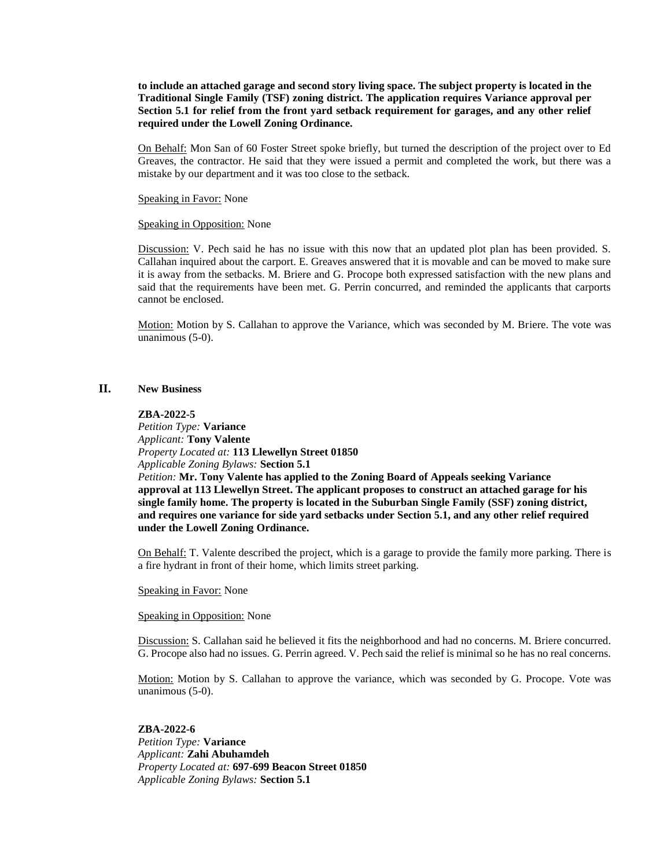**to include an attached garage and second story living space. The subject property is located in the Traditional Single Family (TSF) zoning district. The application requires Variance approval per Section 5.1 for relief from the front yard setback requirement for garages, and any other relief required under the Lowell Zoning Ordinance.**

On Behalf: Mon San of 60 Foster Street spoke briefly, but turned the description of the project over to Ed Greaves, the contractor. He said that they were issued a permit and completed the work, but there was a mistake by our department and it was too close to the setback.

Speaking in Favor: None

#### Speaking in Opposition: None

Discussion: V. Pech said he has no issue with this now that an updated plot plan has been provided. S. Callahan inquired about the carport. E. Greaves answered that it is movable and can be moved to make sure it is away from the setbacks. M. Briere and G. Procope both expressed satisfaction with the new plans and said that the requirements have been met. G. Perrin concurred, and reminded the applicants that carports cannot be enclosed.

Motion: Motion by S. Callahan to approve the Variance, which was seconded by M. Briere. The vote was unanimous (5-0).

# **II. New Business**

#### **ZBA-2022-5**

*Petition Type:* **Variance** *Applicant:* **Tony Valente** *Property Located at:* **113 Llewellyn Street 01850** *Applicable Zoning Bylaws:* **Section 5.1** *Petition:* **Mr. Tony Valente has applied to the Zoning Board of Appeals seeking Variance approval at 113 Llewellyn Street. The applicant proposes to construct an attached garage for his single family home. The property is located in the Suburban Single Family (SSF) zoning district, and requires one variance for side yard setbacks under Section 5.1, and any other relief required under the Lowell Zoning Ordinance.**

On Behalf: T. Valente described the project, which is a garage to provide the family more parking. There is a fire hydrant in front of their home, which limits street parking.

Speaking in Favor: None

Speaking in Opposition: None

Discussion: S. Callahan said he believed it fits the neighborhood and had no concerns. M. Briere concurred. G. Procope also had no issues. G. Perrin agreed. V. Pech said the relief is minimal so he has no real concerns.

Motion: Motion by S. Callahan to approve the variance, which was seconded by G. Procope. Vote was unanimous (5-0).

**ZBA-2022-6** *Petition Type:* **Variance** *Applicant:* **Zahi Abuhamdeh** *Property Located at:* **697-699 Beacon Street 01850** *Applicable Zoning Bylaws:* **Section 5.1**